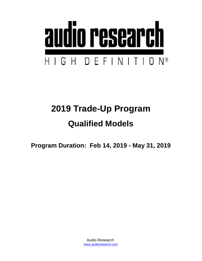

# **2019 Trade-Up Program Qualified Models**

**Program Duration: Feb 14, 2019 - May 31, 2019**

[www.audioresearch.com](http://www.audioresearch.com/) Audio Research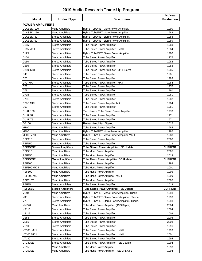## **2019 Audio Research Trade-Up Program**

| Model                   | <b>Product Type</b>      | <b>Description</b>                               | 1st Year<br><b>Production</b> |
|-------------------------|--------------------------|--------------------------------------------------|-------------------------------|
| <b>POWER AMPLIFIERS</b> |                          |                                                  |                               |
| CLASSIC 120             | <b>Mono Amplifiers</b>   | Hybrid Tube/FET Mono Power Amplifier.            | 1990                          |
| CLASSIC 150             | <b>Mono Amplifiers</b>   | Hybrid Tube/FET Mono Power Amplifier.            | 1988                          |
| CLASSIC 30              | <b>Stereo Amplifiers</b> | Hybrid Tube/FET Stereo Power Amplifier.          | 1988                          |
| CLASSIC 60              | <b>Stereo Amplifiers</b> | Hybrid Tube/FET Stereo Power Amplifier.          | 1989                          |
| D115                    | <b>Stereo Amplifiers</b> | Tube Stereo Power Amplifier.                     | 1983                          |
| <b>D115 MKII</b>        | <b>Stereo Amplifiers</b> | Tube Stereo Power Amplifier. MKII                | 1984                          |
| D125                    | <b>Stereo Amplifiers</b> | Hybrid Tube/FET Stereo Power Amplifier.          | 1988                          |
| D <sub>150</sub>        | <b>Stereo Amplifiers</b> | Tube Stereo Power Amplifier.                     | 1975                          |
| D160                    | Stereo Amplifiers        | Tube Stereo Power Amplifier.                     | 1982                          |
| D <sub>250</sub>        | <b>Stereo Amplifiers</b> | Tube Stereo Power Amplifier.                     | 1983                          |
| D250 MKII               | <b>Stereo Amplifiers</b> | Tube Stereo Power Amplifier. MKII Servo          | 1985                          |
| D40                     | <b>Stereo Amplifiers</b> | Tube Stereo Power Amplifier.                     | 1981                          |
| D70                     | <b>Stereo Amplifiers</b> | Tube Stereo Power Amplifier.                     | 1983                          |
| D70 MKII                | <b>Stereo Amplifiers</b> | Tube Stereo Power Amplifier. MKII                | 1984                          |
| D76                     | <b>Stereo Amplifiers</b> | Tube Stereo Power Amplifier.                     | 1976                          |
| D79                     | <b>Stereo Amplifiers</b> | Tube Stereo Power Amplifier.                     | 1980                          |
| D79B                    | <b>Stereo Amplifiers</b> | Tube Stereo Power Amplifier.                     | 1981                          |
| <b>D79C</b>             | <b>Stereo Amplifiers</b> | Tube Stereo Power Amplifier.                     | 1982                          |
| D79C MKII               | <b>Stereo Amplifiers</b> | Tube Stereo Power Amplifier MK II                | 1984                          |
| D90                     | <b>Stereo Amplifiers</b> | Tube Stereo Power Amplifier.                     | 1981                          |
| <b>DUAL 100</b>         | <b>Stereo Amplifiers</b> | Two chassis Tube Stereo Power Amplifier.         | 1970                          |
| DUAL <sub>51</sub>      | <b>Stereo Amplifiers</b> | Tube Stereo Power Amplifier.                     | 1971                          |
| DUAL 75                 | <b>Stereo Amplifiers</b> | Tube Stereo Power Amplifier.                     | 1971                          |
| GS150                   | <b>Stereo Amplifiers</b> | Power Amplifier, Stereo                          | 2015                          |
| M100                    | <b>Mono Amplifiers</b>   | Tube Stereo Power Amplifier.                     | 1985                          |
| M300                    | Mono Amplifiers          | Hybrid Tube/FET Mono Power Amplifier.            | 1986                          |
| M300 MKII               | <b>Mono Amplifiers</b>   | Hybrid Tube/FET Mono Power Amplifier MK II       | 1988                          |
| <b>REF110</b>           | <b>Stereo Amplifiers</b> | Tube Stereo Power Amplifier.                     | 2008                          |
| <b>REF150</b>           | <b>Stereo Amplifiers</b> | Tube Stereo Power Amplifier.                     | 2013                          |
| <b>REF150SE</b>         | <b>Stereo Amplifiers</b> | Tube Stereo Power Amplifier. SE Update           | <b>CURRENT</b>                |
| <b>REF210</b>           | <b>Mono Amplifiers</b>   | Tube Mono Power Amplifier.                       | 2005                          |
| <b>REF250</b>           | <b>Mono Amplifiers</b>   | Tube Mono Power Amplifier.                       | 2013                          |
| <b>REF250SE</b>         | <b>Mono Amplifiers</b>   | Tube Mono Power Amplifier. SE Update             | <b>CURRENT</b>                |
| <b>REF300</b>           | <b>Mono Amplifiers</b>   | Tube Mono Power Amplifier.                       | 1999                          |
| <b>REF300 MK II</b>     | <b>Mono Amplifiers</b>   | Tube Mono Power Amplifier.                       | 2001                          |
| <b>REF600</b>           | Mono Amplifiers          | Tube Mono Power Amplifier.                       | 1996                          |
| REF600 MKII             | Mono Amplifiers          | Tube Mono Power Amplifier. MK II                 | 1999                          |
| REF610T                 | Mono Amplifiers          | Tube Mono Power Amplifier.                       | 2005                          |
| REF75                   | <b>Stereo Amplifiers</b> | Tube Stereo Power Amplifier.                     | 2013                          |
| REF75SE                 | <b>Stereo Amplifiers</b> | Tube Stereo Power Amplifier. SE Update           | <b>CURRENT</b>                |
| V140                    | <b>Mono Amplifiers</b>   | Hybrid Tube/FET Mono Power Amplifier. Triode.    | 1993                          |
| V35                     | <b>Stereo Amplifiers</b> | Hybrid Tube/FET Stereo Power Amplifier. Triode.  | 1993                          |
| V70                     | <b>Stereo Amplifiers</b> | Hybrid Tube/FET Stereo Power Amplifier. Triode.  | 1993                          |
| VM220                   | Mono Amplifiers          | Tube Mono Power Amplifier. (\$9,990/pair)        | 2004                          |
| VS110                   | <b>Stereo Amplifiers</b> | Tube Stereo Power Amplifier.                     | 2004                          |
| VS115                   | <b>Stereo Amplifiers</b> | Tube Stereo Power Amplifier.                     | 2008                          |
| VS55                    | <b>Stereo Amplifiers</b> | Tube Stereo Power Amplifier.                     | 2008                          |
| VS60                    | <b>Stereo Amplifiers</b> | Tube Stereo Power Amplifier.                     | 2008                          |
| VT100                   | <b>Stereo Amplifiers</b> | Tube Stereo Power Amplifier.                     | 1996                          |
| VT100 MKII              | <b>Stereo Amplifiers</b> | Tube Stereo Power Amplifier.<br>MKII             | 1999                          |
| VT100 MKIII             | <b>Stereo Amplifiers</b> | Tube Stereo Power Amplifier.<br><b>MKIII</b>     | 2001                          |
| VT130                   | <b>Stereo Amplifiers</b> | Tube Stereo Power Amplifier.                     | 1994                          |
| <b>VT130SE</b>          | <b>Stereo Amplifiers</b> | <b>SE Update</b><br>Tube Stereo Power Amplifier. | 1994                          |
| VT150                   | Mono Amplifiers          | Tube Mono Power Amplifier.                       | 1993                          |
| <b>VT150SE</b>          | Mono Amplifiers          | Tube Mono Power Amplifier. SE UPDATE             | 1994                          |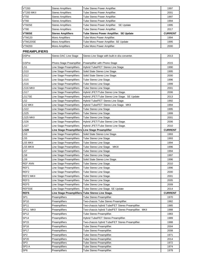| VT200           | <b>Stereo Amplifiers</b> | Tube Stereo Power Amplifier.           | 1997           |
|-----------------|--------------------------|----------------------------------------|----------------|
| VT200 MKII      | <b>Stereo Amplifiers</b> | Tube Stereo Power Amplifier.           | 2001           |
| <b>VT50</b>     | <b>Stereo Amplifiers</b> | Tube Stereo Power Amplifier.           | 1997           |
| VT60            | <b>Stereo Amplifiers</b> | Tube Stereo Power Amplifier.           | 1994           |
| VT60SE          | <b>Stereo Amplifiers</b> | Tube Stereo Power Amplifier. SE Update | 1995           |
| <b>VT80</b>     | <b>Stereo Amplifiers</b> | Tube Stereo Power Amplifier.           | 2017           |
| <b>VT80SE</b>   | <b>Stereo Amplifiers</b> | Tube Stereo Power Amplifier. SE Update | <b>CURRENT</b> |
| <b>VTM120</b>   | <b>Mono Amplifiers</b>   | Tube Mono Power Amplifier.             | 1994           |
| <b>VTM120SE</b> | Mono Amplifiers          | Tube Mono Power Amplifier. SE Update   | 1995           |
| <b>VTM200</b>   | <b>Mono Amplifiers</b>   | Tube Mono Power Amplifier.             | 2000           |

#### **PREAMPLIFIERS**

| <b>DSPre</b>     | Stereo DAC Line Stage                                | Stereo Line Stage with built-in d/a converter.        | 2013           |
|------------------|------------------------------------------------------|-------------------------------------------------------|----------------|
|                  |                                                      |                                                       |                |
| GSPre            | Phono Stage Preamplifier                             | Preamplifier with Phono Stage                         | 2015           |
| LS1              | Line Stage Preamplifiers<br>Line Stage Preamplifiers | Hybrid Tube/FET Stereo Line Stage.                    | 1990           |
| LS10             |                                                      | Solid State Stereo Line Stage.                        | 1995           |
| LS12             | Line Stage Preamplifiers                             | Solid State Stereo Line Stage.                        | 2000           |
| LS15             | Line Stage Preamplifiers                             | Tube Stereo Line Stage.                               | 1996           |
| LS16             | Line Stage Preamplifiers                             | Tube Stereo Line Stage.                               | 1999           |
| LS16 MKII        | Line Stage Preamplifiers                             | Tube Stereo Line Stage.                               | 2001           |
| <b>LS17</b>      | Line Stage Preamplifiers                             | Hybrid JFET/Tube Stereo Line Stage.                   | 2006           |
| LS17SE           | Line Stage Preamplifiers                             | Hybrid JFET/Tube Stereo Line Stage. SE Update         | 2013           |
| LS2              | Line Stage Preamplifiers                             | Hybrid Tube/FET Stereo Line Stage.                    | 1992           |
| LS2 MKII         | Line Stage Preamplifiers                             | Hybrid Tube/FET Stereo Line Stage. MKII               | 1994           |
| <b>LS22</b>      | Line Stage Preamplifiers                             | Tube Stereo Line Stage.                               | 1995           |
| <b>LS25</b>      | Line Stage Preamplifiers                             | Tube Stereo Line Stage.                               | 1999           |
| LS25 MKII        | Line Stage Preamplifiers                             | Tube Stereo Line Stage.                               | 2001           |
| LS26             | Line Stage Preamplifiers                             | Hybrid JFET/Tube Stereo Line Stage.                   | 2006           |
| LS27             | Line Stage Preamplifiers                             | Hybrid JFET/Tube Stereo Line Stage.                   | 2010           |
| <b>LS28</b>      | <b>Line Stage Preamplifiers</b>                      | <b>Line Stage Preamplifier</b>                        | <b>CURRENT</b> |
| LS <sub>3</sub>  | Line Stage Preamplifiers                             | Solid State Stereo Line Stage.                        | 1993           |
| LS <sub>5</sub>  | Line Stage Preamplifiers                             | Tube Stereo Line Stage.                               | 1993           |
| LS5 MKII         | Line Stage Preamplifiers                             | Tube Stereo Line Stage.                               | 1994           |
| LS5 MKIII        | Line Stage Preamplifiers                             | Tube Stereo Line Stage. MKIII                         | 1996           |
| LS7              | Line Stage Preamplifiers                             | Tube Stereo Line Stage.                               | 1994           |
| LS8              | Line Stage Preamplifiers                             | Tube Stereo Line Stage.                               | 1997           |
| LS9              | Line Stage Preamplifiers                             | Solid State Stereo Line Stage.                        | 1996           |
| <b>REF ANN</b>   | Line Stage Preamplifiers                             | Tube Stereo Line Stage.                               | 2010           |
| REF1             | Line Stage Preamplifiers                             | Tube Stereo Line Stage.                               | 1996           |
| REF <sub>2</sub> | Line Stage Preamplifiers                             | Tube Stereo Line Stage.                               | 2000           |
| <b>REF2 MKII</b> | Line Stage Preamplifiers                             | Tube Stereo Line Stage.                               | 2001           |
| REF3             | Line Stage Preamplifiers                             | Tube Stereo Line Stage.                               | 2005           |
| REF <sub>5</sub> | Line Stage Preamplifiers                             | Tube Stereo Line Stage.                               | 2009           |
| REF5SE           | Line Stage Preamplifiers                             | Tube Stereo Line Stage. SE Update                     | 2014           |
| REF <sub>6</sub> | <b>Line Stage Preamplifiers</b>                      | Tube Stereo Line Stage.                               | <b>CURRENT</b> |
| SP <sub>1</sub>  | Preamplifiers                                        | Tube Stereo Preamplifier.                             | 1970           |
| SP10             | Preamplifiers                                        | Two-chassis Tube Stereo Preamplifier.                 | 1982           |
| <b>SP11</b>      | Preamplifiers                                        | Two-chassis hybrid Tube/FET Stereo Preamplifier.      | 1985           |
| SP11 MKII        | Preamplifiers                                        | Two-chassis hybrid Tube/FET Stereo Preamplifier. MKII | 1988           |
| <b>SP12</b>      | Preamplifiers                                        | Tube Stereo Preamplifier.                             | 1983           |
| SP <sub>14</sub> | Preamplifiers                                        | Hybrid Tube/FET Stereo Preamplifier.                  | 1989           |
| <b>SP15</b>      | Preamplifiers                                        | Two-chassis hybrid Tube/FET Stereo Preamplifier.      | 1988           |
| SP <sub>16</sub> | Preamplifiers                                        | Tube Stereo Preamplifier.                             | 2004           |
| SP <sub>17</sub> | Preamplifiers                                        | Tube Stereo Preamplifier.                             | 2008           |
| SP <sub>2</sub>  | Preamplifiers                                        | Tube Stereo Preamplifier.                             | 1971           |
| SP20             | Preamplifiers                                        | Tube Stereo Preamplifier.                             | 2014           |
| SP <sub>3</sub>  | Preamplifiers                                        | Tube Stereo Preamplifier.                             | 1972           |
| SP3A             | Preamplifiers                                        | Tube Stereo Preamplifier.                             | 1974           |
| SP <sub>6</sub>  | Preamplifiers                                        | Tube Stereo Preamplifier.                             | 1978           |